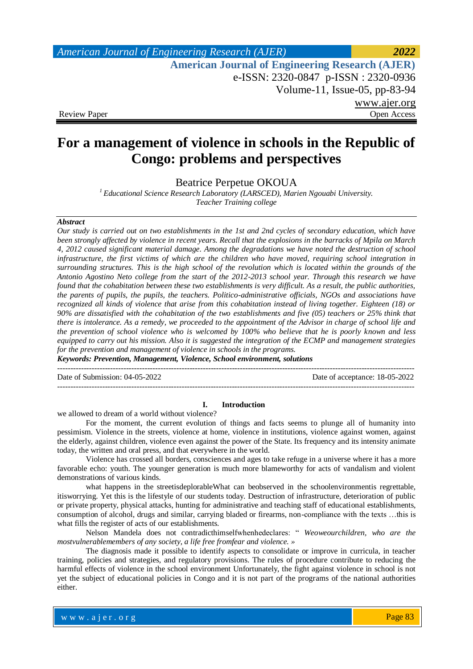# *American Journal of Engineering Research (AJER) 2022*  **American Journal of Engineering Research (AJER)** e-ISSN: 2320-0847 p-ISSN : 2320-0936 Volume-11, Issue-05, pp-83-94 www.ajer.org<br>Open Access Review Paper

# **For a management of violence in schools in the Republic of Congo: problems and perspectives**

Beatrice Perpetue OKOUA

*<sup>1</sup>Educational Science Research Laboratory (LARSCED), Marien Ngouabi University. Teacher Training college*

#### *Abstract*

*Our study is carried out on two establishments in the 1st and 2nd cycles of secondary education, which have been strongly affected by violence in recent years. Recall that the explosions in the barracks of Mpila on March 4, 2012 caused significant material damage. Among the degradations we have noted the destruction of school infrastructure, the first victims of which are the children who have moved, requiring school integration in surrounding structures. This is the high school of the revolution which is located within the grounds of the Antonio Agostino Neto college from the start of the 2012-2013 school year. Through this research we have found that the cohabitation between these two establishments is very difficult. As a result, the public authorities, the parents of pupils, the pupils, the teachers. Politico-administrative officials, NGOs and associations have recognized all kinds of violence that arise from this cohabitation instead of living together. Eighteen (18) or 90% are dissatisfied with the cohabitation of the two establishments and five (05) teachers or 25% think that there is intolerance. As a remedy, we proceeded to the appointment of the Advisor in charge of school life and the prevention of school violence who is welcomed by 100% who believe that he is poorly known and less equipped to carry out his mission. Also it is suggested the integration of the ECMP and management strategies for the prevention and management of violence in schools in the programs.*

*Keywords: Prevention, Management, Violence, School environment, solutions*

Date of Submission: 04-05-2022 Date of acceptance: 18-05-2022

#### **I. Introduction**

---------------------------------------------------------------------------------------------------------------------------------------

---------------------------------------------------------------------------------------------------------------------------------------

we allowed to dream of a world without violence?

For the moment, the current evolution of things and facts seems to plunge all of humanity into pessimism. Violence in the streets, violence at home, violence in institutions, violence against women, against the elderly, against children, violence even against the power of the State. Its frequency and its intensity animate today, the written and oral press, and that everywhere in the world.

Violence has crossed all borders, consciences and ages to take refuge in a universe where it has a more favorable echo: youth. The younger generation is much more blameworthy for acts of vandalism and violent demonstrations of various kinds.

what happens in the streetisdeplorableWhat can beobserved in the schoolenvironmentis regrettable, itisworrying. Yet this is the lifestyle of our students today. Destruction of infrastructure, deterioration of public or private property, physical attacks, hunting for administrative and teaching staff of educational establishments, consumption of alcohol, drugs and similar, carrying bladed or firearms, non-compliance with the texts …this is what fills the register of acts of our establishments.

Nelson Mandela does not contradicthimselfwhenhedeclares: " *Weoweourchildren, who are the mostvulnerablemembers of any society, a life free fromfear and violence. »*

The diagnosis made it possible to identify aspects to consolidate or improve in curricula, in teacher training, policies and strategies, and regulatory provisions. The rules of procedure contribute to reducing the harmful effects of violence in the school environment Unfortunately, the fight against violence in school is not yet the subject of educational policies in Congo and it is not part of the programs of the national authorities either.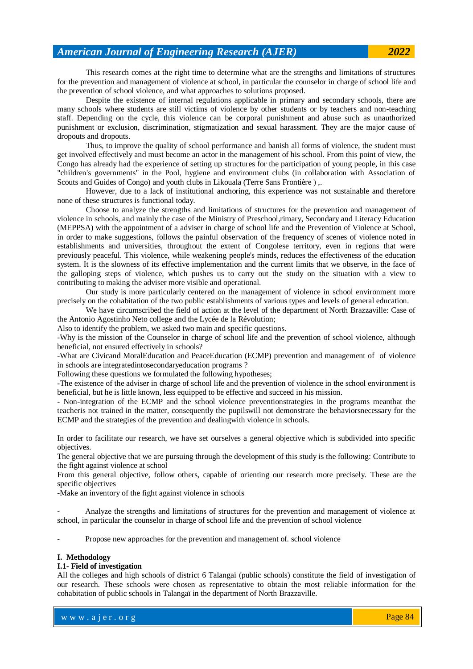This research comes at the right time to determine what are the strengths and limitations of structures for the prevention and management of violence at school, in particular the counselor in charge of school life and the prevention of school violence, and what approaches to solutions proposed.

Despite the existence of internal regulations applicable in primary and secondary schools, there are many schools where students are still victims of violence by other students or by teachers and non-teaching staff. Depending on the cycle, this violence can be corporal punishment and abuse such as unauthorized punishment or exclusion, discrimination, stigmatization and sexual harassment. They are the major cause of dropouts and dropouts.

Thus, to improve the quality of school performance and banish all forms of violence, the student must get involved effectively and must become an actor in the management of his school. From this point of view, the Congo has already had the experience of setting up structures for the participation of young people, in this case "children's governments" in the Pool, hygiene and environment clubs (in collaboration with Association of Scouts and Guides of Congo) and youth clubs in Likouala (Terre Sans Frontière ) ,.

However, due to a lack of institutional anchoring, this experience was not sustainable and therefore none of these structures is functional today.

Choose to analyze the strengths and limitations of structures for the prevention and management of violence in schools, and mainly the case of the Ministry of Preschool,rimary, Secondary and Literacy Education (MEPPSA) with the appointment of a adviser in charge of school life and the Prevention of Violence at School, in order to make suggestions, follows the painful observation of the frequency of scenes of violence noted in establishments and universities, throughout the extent of Congolese territory, even in regions that were previously peaceful. This violence, while weakening people's minds, reduces the effectiveness of the education system. It is the slowness of its effective implementation and the current limits that we observe, in the face of the galloping steps of violence, which pushes us to carry out the study on the situation with a view to contributing to making the adviser more visible and operational.

Our study is more particularly centered on the management of violence in school environment more precisely on the cohabitation of the two public establishments of various types and levels of general education.

We have circumscribed the field of action at the level of the department of North Brazzaville: Case of the Antonio Agostinho Neto college and the Lycée de la Révolution;

Also to identify the problem, we asked two main and specific questions.

-Why is the mission of the Counselor in charge of school life and the prevention of school violence, although beneficial, not ensured effectively in schools?

-What are Civicand MoralEducation and PeaceEducation (ECMP) prevention and management of of violence in schools are integratedintosecondaryeducation programs ?

Following these questions we formulated the following hypotheses;

-The existence of the adviser in charge of school life and the prevention of violence in the school environment is beneficial, but he is little known, less equipped to be effective and succeed in his mission.

**-** Non-integration of the ECMP and the school violence preventionstrategies in the programs meanthat the teacheris not trained in the matter, consequently the pupilswill not demonstrate the behaviorsnecessary for the ECMP and the strategies of the prevention and dealingwith violence in schools.

In order to facilitate our research, we have set ourselves a general objective which is subdivided into specific objectives.

The general objective that we are pursuing through the development of this study is the following: Contribute to the fight against violence at school

From this general objective, follow others, capable of orienting our research more precisely. These are the specific objectives

-Make an inventory of the fight against violence in schools

- Analyze the strengths and limitations of structures for the prevention and management of violence at school, in particular the counselor in charge of school life and the prevention of school violence

- Propose new approaches for the prevention and management of. school violence

#### **I. Methodology**

#### **I.1- Field of investigation**

All the colleges and high schools of district 6 Talangaï (public schools) constitute the field of investigation of our research. These schools were chosen as representative to obtain the most reliable information for the cohabitation of public schools in Talangaï in the department of North Brazzaville.

www.ajer.org where  $\mathcal{L} = \mathcal{L} \left( \mathcal{L} \right)$  is the set of  $\mathcal{L} \left( \mathcal{L} \right)$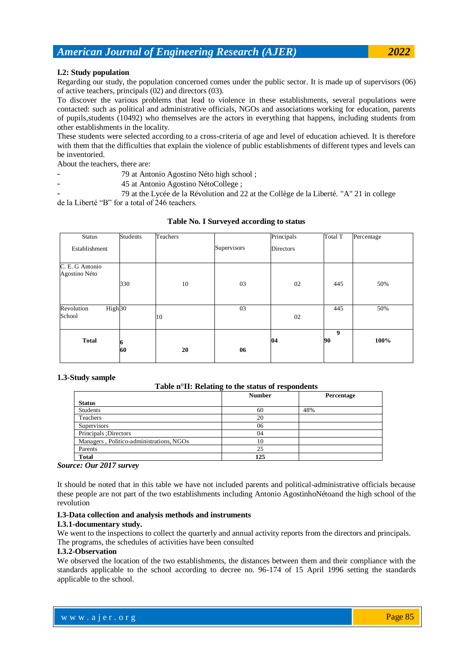## **I.2: Study population**

Regarding our study, the population concerned comes under the public sector. It is made up of supervisors (06) of active teachers, principals (02) and directors (03).

To discover the various problems that lead to violence in these establishments, several populations were contacted: such as political and administrative officials, NGOs and associations working for education, parents of pupils,students (10492) who themselves are the actors in everything that happens, including students from other establishments in the locality.

These students were selected according to a cross-criteria of age and level of education achieved. It is therefore with them that the difficulties that explain the violence of public establishments of different types and levels can be inventoried.

About the teachers, there are:

- 79 at Antonio Agostino Néto high school;
- 45 at Antonio Agostino NétoCollege;

- 79 at the Lycée de la Révolution and 22 at the Collège de la Liberté. "A" 21 in college de la Liberté "B" for a total of 246 teachers.

| <b>Status</b>                    | <b>Students</b> | Teachers |             | Principals       | Total T | Percentage |
|----------------------------------|-----------------|----------|-------------|------------------|---------|------------|
| Establishment                    |                 |          | Supervisors | <b>Directors</b> |         |            |
| C. E. G Antonio                  |                 |          |             |                  |         |            |
| Agostino Néto                    |                 |          |             |                  |         |            |
|                                  | 330             | 10       | 03          | 02               | 445     | 50%        |
|                                  |                 |          |             |                  |         |            |
| High <sub>30</sub><br>Revolution |                 |          | 03          |                  | 445     | 50%        |
| School                           |                 | 10       |             | 02               |         |            |
| <b>Total</b>                     |                 |          |             | 04               | 9<br>90 | 100%       |
|                                  | 60              | 20       | 06          |                  |         |            |

**Table No. I Surveyed according to status**

### **1.3-Study sample**

#### **Table n°II: Relating to the status of respondents**

|                                          | <b>Number</b> | Percentage |
|------------------------------------------|---------------|------------|
| <b>Status</b>                            |               |            |
| Students                                 | 60            | 48%        |
| Teachers                                 | 20            |            |
| Supervisors                              | 06            |            |
| Principals ; Directors                   | 04            |            |
| Managers, Politico-administrations, NGOs | 10            |            |
| Parents                                  | 25            |            |
| <b>Total</b>                             | 125           |            |
| $\sim$ $\sim$ $\sim$ $\sim$              |               |            |

#### *Source: Our 2017 survey*

It should be noted that in this table we have not included parents and political-administrative officials because these people are not part of the two establishments including Antonio AgostinhoNétoand the high school of the revolution

## **I.3-Data collection and analysis methods and instruments**

#### **I.3.1-documentary study.**

We went to the inspections to collect the quarterly and annual activity reports from the directors and principals. The programs, the schedules of activities have been consulted

## **I.3.2-Observation**

We observed the location of the two establishments, the distances between them and their compliance with the standards applicable to the school according to decree no. 96-174 of 15 April 1996 setting the standards applicable to the school.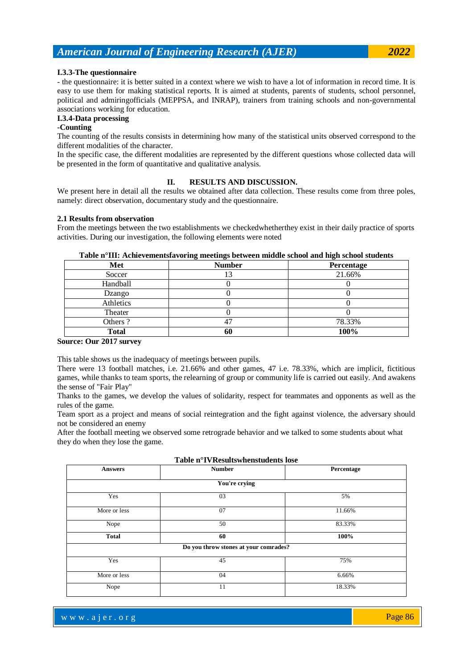#### **I.3.3-The questionnaire**

- the questionnaire: it is better suited in a context where we wish to have a lot of information in record time. It is easy to use them for making statistical reports. It is aimed at students, parents of students, school personnel, political and admiringofficials (MEPPSA, and INRAP), trainers from training schools and non-governmental associations working for education.

## **I.3.4-Data processing**

#### **-Counting**

The counting of the results consists in determining how many of the statistical units observed correspond to the different modalities of the character.

In the specific case, the different modalities are represented by the different questions whose collected data will be presented in the form of quantitative and qualitative analysis.

## **II. RESULTS AND DISCUSSION.**

We present here in detail all the results we obtained after data collection. These results come from three poles, namely: direct observation, documentary study and the questionnaire.

#### **2.1 Results from observation**

From the meetings between the two establishments we checkedwhetherthey exist in their daily practice of sports activities. During our investigation, the following elements were noted

| Met       | <b>Number</b> | Percentage |
|-----------|---------------|------------|
| Soccer    |               | 21.66%     |
| Handball  |               |            |
| Dzango    |               |            |
| Athletics |               |            |
| Theater   |               |            |
| Others?   | 4.            | 78.33%     |
| Total     | OU            | 100%       |

### **Table n°III: Achievementsfavoring meetings between middle school and high school students**

#### **Source: Our 2017 survey**

This table shows us the inadequacy of meetings between pupils.

There were 13 football matches, i.e. 21.66% and other games, 47 i.e. 78.33%, which are implicit, fictitious games, while thanks to team sports, the relearning of group or community life is carried out easily. And awakens the sense of "Fair Play"

Thanks to the games, we develop the values of solidarity, respect for teammates and opponents as well as the rules of the game.

Team sport as a project and means of social reintegration and the fight against violence, the adversary should not be considered an enemy

After the football meeting we observed some retrograde behavior and we talked to some students about what they do when they lose the game.

| <b>Number</b>                         | Percentage |
|---------------------------------------|------------|
| You're crying                         |            |
| 03                                    | 5%         |
| 07                                    | 11.66%     |
| 50                                    | 83.33%     |
| 60                                    | 100%       |
| Do you throw stones at your comrades? |            |
| 45                                    | 75%        |
| 04                                    | 6.66%      |
| 11                                    | 18.33%     |
|                                       |            |

**Table n°IVResultswhenstudents lose**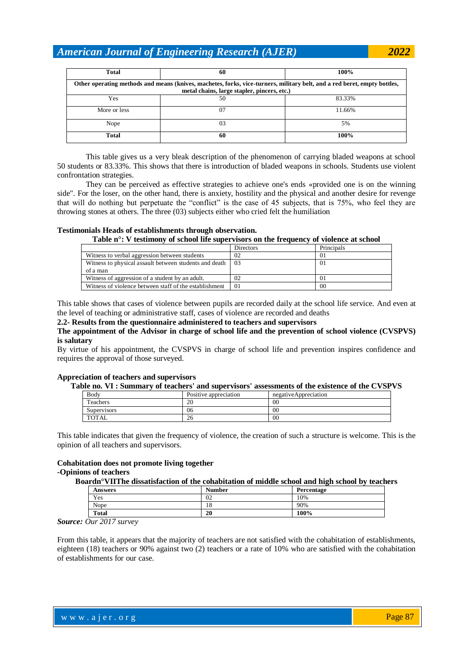| <b>Total</b>                                                                                                                                                            | 60 | 100%   |  |  |  |
|-------------------------------------------------------------------------------------------------------------------------------------------------------------------------|----|--------|--|--|--|
| Other operating methods and means (knives, machetes, forks, vice-turners, military belt, and a red beret, empty bottles,<br>metal chains, large stapler, pincers, etc.) |    |        |  |  |  |
| Yes                                                                                                                                                                     | 50 | 83.33% |  |  |  |
| More or less                                                                                                                                                            | 07 | 11.66% |  |  |  |
| Nope                                                                                                                                                                    | 03 | 5%     |  |  |  |
| <b>Total</b>                                                                                                                                                            | 60 | 100%   |  |  |  |

This table gives us a very bleak description of the phenomenon of carrying bladed weapons at school 50 students or 83.33%. This shows that there is introduction of bladed weapons in schools. Students use violent confrontation strategies.

They can be perceived as effective strategies to achieve one's ends «provided one is on the winning side". For the loser, on the other hand, there is anxiety, hostility and the physical and another desire for revenge that will do nothing but perpetuate the "conflict" is the case of 45 subjects, that is 75%, who feel they are throwing stones at others. The three (03) subjects either who cried felt the humiliation

### **Testimonials Heads of establishments through observation.**

**Table n°: V testimony of school life supervisors on the frequency of violence at school**

|                                                        | <b>Directors</b> | Principals     |
|--------------------------------------------------------|------------------|----------------|
| Witness to verbal aggression between students          | 02               | 01             |
| Witness to physical assault between students and death | 03               | 01             |
| of a man                                               |                  |                |
| Witness of aggression of a student by an adult.        | 02               | 01             |
| Witness of violence between staff of the establishment | 01               | 0 <sup>0</sup> |

This table shows that cases of violence between pupils are recorded daily at the school life service. And even at the level of teaching or administrative staff, cases of violence are recorded and deaths

### **2.2- Results from the questionnaire administered to teachers and supervisors**

## **The appointment of the Advisor in charge of school life and the prevention of school violence (CVSPVS) is salutary**

By virtue of his appointment, the CVSPVS in charge of school life and prevention inspires confidence and requires the approval of those surveyed.

#### **Appreciation of teachers and supervisors**

#### **Table no. VI : Summary of teachers' and supervisors' assessments of the existence of the CVSPVS**

| Body               | Positive appreciation | negativeAppreciation |
|--------------------|-----------------------|----------------------|
| Teachers           | 20                    | 00                   |
| <b>Supervisors</b> | 06                    | 00                   |
| <b>TOTAL</b>       | ∩.<br>26              | 00                   |

This table indicates that given the frequency of violence, the creation of such a structure is welcome. This is the opinion of all teachers and supervisors.

#### **Cohabitation does not promote living together -Opinions of teachers**

**Boardn°VIIThe dissatisfaction of the cohabitation of middle school and high school by teachers**

| <b>Answers</b> | <b>Number</b> | Percentage |
|----------------|---------------|------------|
| Yes            | 02            | 10%        |
| Nope           | . O           | 90%        |
| <b>Total</b>   | 20            | 100%       |

*Source: Our 2017 survey*

From this table, it appears that the majority of teachers are not satisfied with the cohabitation of establishments, eighteen (18) teachers or 90% against two (2) teachers or a rate of 10% who are satisfied with the cohabitation of establishments for our case.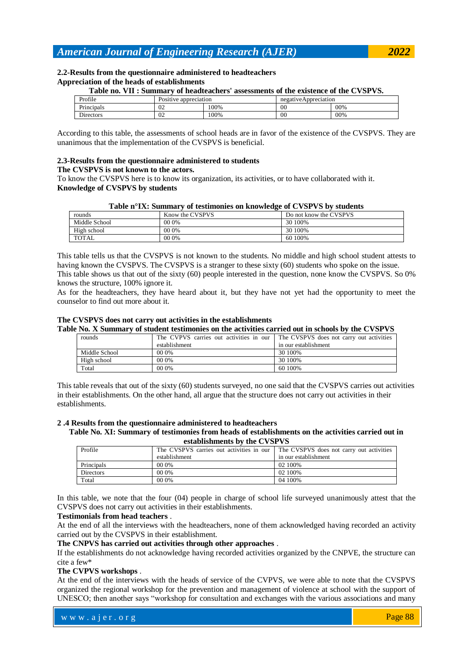#### **2.2-Results from the questionnaire administered to headteachers Appreciation of the heads of establishments**

#### **Table no. VII : Summary of headteachers' assessments of the existence of the CVSPVS.**

| Profile                      | T.<br>Positive appreciation |      | negative Appreciation |     |
|------------------------------|-----------------------------|------|-----------------------|-----|
| $\sim$ $\cdot$<br>Principals | 02                          | .00% | 00                    | 00% |
| $\sim$ .<br>Directors        | 02                          | .00% | 00                    | 00% |

According to this table, the assessments of school heads are in favor of the existence of the CVSPVS. They are unanimous that the implementation of the CVSPVS is beneficial.

## **2.3-Results from the questionnaire administered to students**

#### **The CVSPVS is not known to the actors.**

To know the CVSPVS here is to know its organization, its activities, or to have collaborated with it. **Knowledge of CVSPVS by students**

| rounds        | Know the CVSPVS | Do not know the CVSPVS |
|---------------|-----------------|------------------------|
| Middle School | 00 0%           | 30 100%                |
| High school   | 00 0%           | 30 100%                |
| <b>TOTAL</b>  | 00 0%           | 60 100%                |

This table tells us that the CVSPVS is not known to the students. No middle and high school student attests to having known the CVSPVS. The CVSPVS is a stranger to these sixty (60) students who spoke on the issue. This table shows us that out of the sixty (60) people interested in the question, none know the CVSPVS. So 0% knows the structure, 100% ignore it.

As for the headteachers, they have heard about it, but they have not yet had the opportunity to meet the counselor to find out more about it.

#### **The CVSPVS does not carry out activities in the establishments Table No. X Summary of student testimonies on the activities carried out in schools by the CVSPVS**

| At two in community of staticity testimolities on the activities carried out in schools by the $\epsilon$ visit visi |               |                                                                                  |                      |  |
|----------------------------------------------------------------------------------------------------------------------|---------------|----------------------------------------------------------------------------------|----------------------|--|
|                                                                                                                      | rounds        | The CVPVS carries out activities in our The CVSPVS does not carry out activities |                      |  |
|                                                                                                                      |               | establishment                                                                    | in our establishment |  |
|                                                                                                                      | Middle School | 00 0%                                                                            | 30 100%              |  |
|                                                                                                                      | High school   | 00 0%                                                                            | 30 100%              |  |
|                                                                                                                      | Total         | 00 0%                                                                            | 60 100%              |  |

This table reveals that out of the sixty (60) students surveyed, no one said that the CVSPVS carries out activities in their establishments. On the other hand, all argue that the structure does not carry out activities in their establishments.

## **2 .4 Results from the questionnaire administered to headteachers**

#### **Table No. XI: Summary of testimonies from heads of establishments on the activities carried out in establishments by the CVSPVS**

| Profile          | The CVSPVS carries out activities in our | The CVSPVS does not carry out activities |  |  |
|------------------|------------------------------------------|------------------------------------------|--|--|
|                  | establishment                            | in our establishment                     |  |  |
| Principals       | 00 0%                                    | 02 100\%                                 |  |  |
| <b>Directors</b> | 00 0%                                    | 02 100%                                  |  |  |
| Total            | 00 0%                                    | 04 100%                                  |  |  |

In this table, we note that the four (04) people in charge of school life surveyed unanimously attest that the CVSPVS does not carry out activities in their establishments.

### **Testimonials from head teachers** .

At the end of all the interviews with the headteachers, none of them acknowledged having recorded an activity carried out by the CVSPVS in their establishment.

### **The CNPVS has carried out activities through other approaches** .

If the establishments do not acknowledge having recorded activities organized by the CNPVE, the structure can cite a few\*

## **The CVPVS workshops** .

At the end of the interviews with the heads of service of the CVPVS, we were able to note that the CVSPVS organized the regional workshop for the prevention and management of violence at school with the support of UNESCO; then another says "workshop for consultation and exchanges with the various associations and many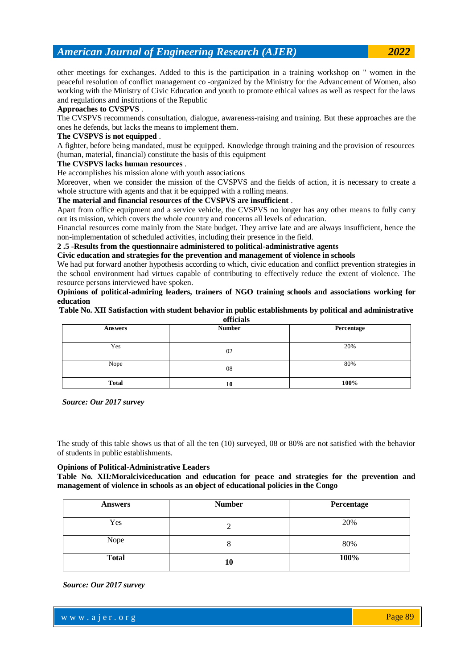other meetings for exchanges. Added to this is the participation in a training workshop on " women in the peaceful resolution of conflict management co -organized by the Ministry for the Advancement of Women, also working with the Ministry of Civic Education and youth to promote ethical values as well as respect for the laws and regulations and institutions of the Republic

## **Approaches to CVSPVS** .

The CVSPVS recommends consultation, dialogue, awareness-raising and training. But these approaches are the ones he defends, but lacks the means to implement them.

## **The CVSPVS is not equipped** .

A fighter, before being mandated, must be equipped. Knowledge through training and the provision of resources (human, material, financial) constitute the basis of this equipment

### **The CVSPVS lacks human resources** .

He accomplishes his mission alone with youth associations

Moreover, when we consider the mission of the CVSPVS and the fields of action, it is necessary to create a whole structure with agents and that it be equipped with a rolling means.

### **The material and financial resources of the CVSPVS are insufficient** .

Apart from office equipment and a service vehicle, the CVSPVS no longer has any other means to fully carry out its mission, which covers the whole country and concerns all levels of education.

Financial resources come mainly from the State budget. They arrive late and are always insufficient, hence the non-implementation of scheduled activities, including their presence in the field.

### **2 .5 -Results from the questionnaire administered to political-administrative agents**

**Civic education and strategies for the prevention and management of violence in schools**

We had put forward another hypothesis according to which, civic education and conflict prevention strategies in the school environment had virtues capable of contributing to effectively reduce the extent of violence. The resource persons interviewed have spoken.

**Opinions of political-admiring leaders, trainers of NGO training schools and associations working for education**

#### **Table No. XII Satisfaction with student behavior in public establishments by political and administrative officials**

| Answers      | 0.11000000<br><b>Number</b> | Percentage |
|--------------|-----------------------------|------------|
| Yes          | 02                          | 20%        |
| Nope         | 08                          | 80%        |
| <b>Total</b> | 10                          | 100%       |

*Source: Our 2017 survey*

The study of this table shows us that of all the ten (10) surveyed, 08 or 80% are not satisfied with the behavior of students in public establishments.

#### **Opinions of Political-Administrative Leaders**

**Table No. XII***:***Moralciviceducation and education for peace and strategies for the prevention and management of violence in schools as an object of educational policies in the Congo**

| <b>Answers</b> | <b>Number</b> | Percentage |
|----------------|---------------|------------|
| Yes            |               | 20%        |
| Nope           |               | 80%        |
| <b>Total</b>   | 10            | 100%       |

*Source: Our 2017 survey*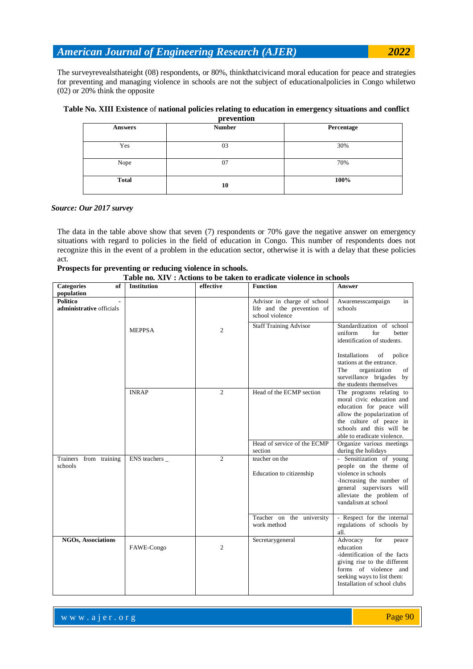The surveyrevealsthateight (08) respondents, or 80%, thinkthatcivicand moral education for peace and strategies for preventing and managing violence in schools are not the subject of educationalpolicies in Congo whiletwo (02) or 20% think the opposite

#### **Table No. XIII Existence** of **national policies relating to education in emergency situations and conflict prevention**

| <b>NEW LOTENTIAL</b> |               |            |  |  |  |
|----------------------|---------------|------------|--|--|--|
| <b>Answers</b>       | <b>Number</b> | Percentage |  |  |  |
| Yes                  | 03            | 30%        |  |  |  |
| Nope                 | 07            | 70%        |  |  |  |
| <b>Total</b>         | 10            | 100%       |  |  |  |

## *Source: Our 2017 survey*

The data in the table above show that seven (7) respondents or 70% gave the negative answer on emergency situations with regard to policies in the field of education in Congo. This number of respondents does not recognize this in the event of a problem in the education sector, otherwise it is with a delay that these policies act.

| Prospects for preventing or reducing violence in schools. |  |  |  |
|-----------------------------------------------------------|--|--|--|
|-----------------------------------------------------------|--|--|--|

|  |  | Table no. XIV : Actions to be taken to eradicate violence in schools |  |
|--|--|----------------------------------------------------------------------|--|
|--|--|----------------------------------------------------------------------|--|

| <b>Categories</b><br>of                     | <b>Institution</b> | no. Ally a retions to be taken to<br>effective | uicaic violchee in schools<br><b>Function</b>                                | <b>Answer</b>                                                                                                                                                                                          |
|---------------------------------------------|--------------------|------------------------------------------------|------------------------------------------------------------------------------|--------------------------------------------------------------------------------------------------------------------------------------------------------------------------------------------------------|
| population                                  |                    |                                                |                                                                              |                                                                                                                                                                                                        |
| <b>Politico</b><br>administrative officials |                    |                                                | Advisor in charge of school<br>life and the prevention of<br>school violence | Awarenesscampaign<br>in<br>schools                                                                                                                                                                     |
|                                             | <b>MEPPSA</b>      | $\overline{c}$                                 | <b>Staff Training Advisor</b>                                                | Standardization of school<br>uniform<br>for<br>better<br>identification of students.<br>Installations<br>of<br>police                                                                                  |
|                                             |                    |                                                |                                                                              | stations at the entrance.<br>The<br>organization<br>οf<br>surveillance brigades by<br>the students themselves                                                                                          |
|                                             | <b>INRAP</b>       | $\overline{2}$                                 | Head of the ECMP section                                                     | The programs relating to<br>moral civic education and<br>education for peace will<br>allow the popularization of<br>the culture of peace in<br>schools and this will be<br>able to eradicate violence. |
|                                             |                    |                                                | Head of service of the ECMP<br>section                                       | Organize various meetings<br>during the holidays                                                                                                                                                       |
| Trainers from training<br>schools           | ENS teachers _     | $\overline{2}$                                 | teacher on the<br>Education to citizenship                                   | - Sensitization of young<br>people on the theme of<br>violence in schools<br>-Increasing the number of<br>general supervisors will<br>alleviate the problem of<br>vandalism at school                  |
|                                             |                    |                                                | Teacher on the university<br>work method                                     | - Respect for the internal<br>regulations of schools by<br>all.                                                                                                                                        |
| <b>NGOs, Associations</b>                   | FAWE-Congo         | $\overline{c}$                                 | Secretarygeneral                                                             | Advocacy<br>for<br>peace<br>education<br>-identification of the facts<br>giving rise to the different<br>forms of violence and<br>seeking ways to list them:<br>Installation of school clubs           |

where  $\mathcal{L} = \mathcal{L} \left( \mathcal{L} \right)$  is the set of  $\mathcal{L} \left( \mathcal{L} \right)$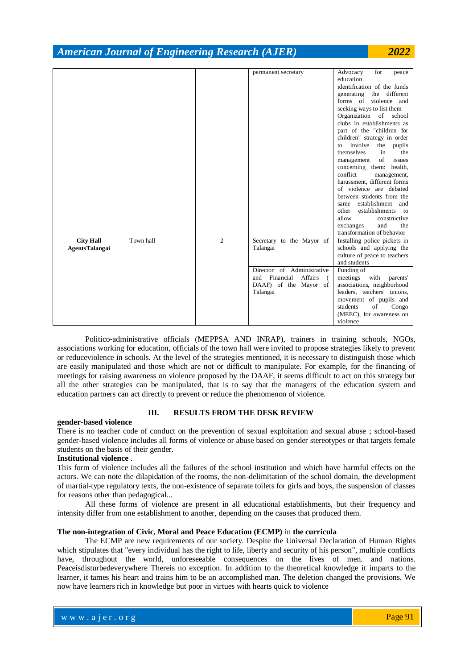|                                           |           |                | permanent secretary                                                                            | Advocacy<br>for<br>peace<br>education<br>identification of the funds<br>generating the different<br>forms of violence and<br>seeking ways to list them<br>Organization of school<br>clubs in establishments as<br>part of the "children for<br>children" strategy in order<br>involve the pupils<br>to<br>in<br>themselves<br>the<br>of<br>issues<br>management<br>concerning them: health,<br>conflict<br>management,<br>harassment, different forms<br>of violence are debated<br>between students from the<br>establishment and<br>same<br>other<br>establishments<br>to<br>allow<br>constructive |
|-------------------------------------------|-----------|----------------|------------------------------------------------------------------------------------------------|------------------------------------------------------------------------------------------------------------------------------------------------------------------------------------------------------------------------------------------------------------------------------------------------------------------------------------------------------------------------------------------------------------------------------------------------------------------------------------------------------------------------------------------------------------------------------------------------------|
|                                           |           |                |                                                                                                | the                                                                                                                                                                                                                                                                                                                                                                                                                                                                                                                                                                                                  |
|                                           |           |                |                                                                                                | exchanges<br>and<br>transformation of behavior                                                                                                                                                                                                                                                                                                                                                                                                                                                                                                                                                       |
| <b>City Hall</b><br><b>AgentsTalangai</b> | Town hall | $\overline{c}$ | Secretary to the Mayor of<br>Talangai                                                          | Installing police pickets in<br>schools and applying the<br>culture of peace to teachers<br>and students                                                                                                                                                                                                                                                                                                                                                                                                                                                                                             |
|                                           |           |                | Director of Administrative<br>Financial<br>Affairs<br>and<br>DAAF) of the Mayor of<br>Talangai | Funding of<br>meetings<br>with<br>parents'<br>associations, neighborhood<br>leaders, teachers' unions,<br>movement of pupils and<br>of<br>students<br>Congo<br>(MEEC), for awareness on<br>violence                                                                                                                                                                                                                                                                                                                                                                                                  |

Politico-administrative officials (MEPPSA AND INRAP), trainers in training schools, NGOs, associations working for education, officials of the town hall were invited to propose strategies likely to prevent or reduceviolence in schools. At the level of the strategies mentioned, it is necessary to distinguish those which are easily manipulated and those which are not or difficult to manipulate. For example, for the financing of meetings for raising awareness on violence proposed by the DAAF, it seems difficult to act on this strategy but all the other strategies can be manipulated, that is to say that the managers of the education system and education partners can act directly to prevent or reduce the phenomenon of violence.

## **III. RESULTS FROM THE DESK REVIEW**

#### **gender-based violence**

There is no teacher code of conduct on the prevention of sexual exploitation and sexual abuse ; school-based gender-based violence includes all forms of violence or abuse based on gender stereotypes or that targets female students on the basis of their gender.

### **Institutional violence** .

This form of violence includes all the failures of the school institution and which have harmful effects on the actors. We can note the dilapidation of the rooms, the non-delimitation of the school domain, the development of martial-type regulatory texts, the non-existence of separate toilets for girls and boys, the suspension of classes for reasons other than pedagogical...

All these forms of violence are present in all educational establishments, but their frequency and intensity differ from one establishment to another, depending on the causes that produced them.

### **The non-integration of Civic, Moral and Peace Education (ECMP)** in **the curricula**

The ECMP are new requirements of our society. Despite the Universal Declaration of Human Rights which stipulates that "every individual has the right to life, liberty and security of his person", multiple conflicts have, throughout the world, unforeseeable consequences on the lives of men. and nations. Peaceisdisturbedeverywhere Thereis no exception. In addition to the theoretical knowledge it imparts to the learner, it tames his heart and trains him to be an accomplished man. The deletion changed the provisions. We now have learners rich in knowledge but poor in virtues with hearts quick to violence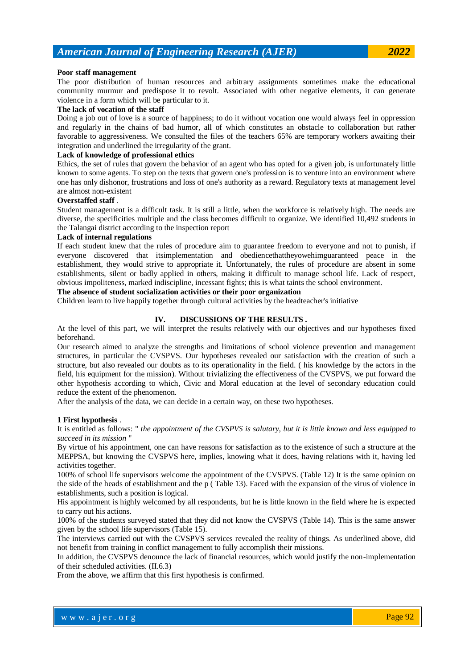#### **Poor staff management**

The poor distribution of human resources and arbitrary assignments sometimes make the educational community murmur and predispose it to revolt. Associated with other negative elements, it can generate violence in a form which will be particular to it.

### **The lack of vocation of the staff**

Doing a job out of love is a source of happiness; to do it without vocation one would always feel in oppression and regularly in the chains of bad humor, all of which constitutes an obstacle to collaboration but rather favorable to aggressiveness. We consulted the files of the teachers 65% are temporary workers awaiting their integration and underlined the irregularity of the grant.

### **Lack of knowledge of professional ethics**

Ethics, the set of rules that govern the behavior of an agent who has opted for a given job, is unfortunately little known to some agents. To step on the texts that govern one's profession is to venture into an environment where one has only dishonor, frustrations and loss of one's authority as a reward. Regulatory texts at management level are almost non-existent

#### **Overstaffed staff** .

Student management is a difficult task. It is still a little, when the workforce is relatively high. The needs are diverse, the specificities multiple and the class becomes difficult to organize. We identified 10,492 students in the Talangai district according to the inspection report

### **Lack of internal regulations**

If each student knew that the rules of procedure aim to guarantee freedom to everyone and not to punish, if everyone discovered that itsimplementation and obediencethattheyowehimguaranteed peace in the establishment, they would strive to appropriate it. Unfortunately, the rules of procedure are absent in some establishments, silent or badly applied in others, making it difficult to manage school life. Lack of respect, obvious impoliteness, marked indiscipline, incessant fights; this is what taints the school environment.

## **The absence of student socialization activities or their poor organization**

Children learn to live happily together through cultural activities by the headteacher's initiative

### **IV. DISCUSSIONS OF THE RESULTS .**

At the level of this part, we will interpret the results relatively with our objectives and our hypotheses fixed beforehand.

Our research aimed to analyze the strengths and limitations of school violence prevention and management structures, in particular the CVSPVS. Our hypotheses revealed our satisfaction with the creation of such a structure, but also revealed our doubts as to its operationality in the field. ( his knowledge by the actors in the field, his equipment for the mission). Without trivializing the effectiveness of the CVSPVS, we put forward the other hypothesis according to which, Civic and Moral education at the level of secondary education could reduce the extent of the phenomenon.

After the analysis of the data, we can decide in a certain way, on these two hypotheses.

#### **1 First hypothesis** .

It is entitled as follows: " *the appointment of the CVSPVS is salutary, but it is little known and less equipped to succeed in its mission* "

By virtue of his appointment, one can have reasons for satisfaction as to the existence of such a structure at the MEPPSA, but knowing the CVSPVS here, implies, knowing what it does, having relations with it, having led activities together.

100% of school life supervisors welcome the appointment of the CVSPVS. (Table 12) It is the same opinion on the side of the heads of establishment and the p ( Table 13). Faced with the expansion of the virus of violence in establishments, such a position is logical.

His appointment is highly welcomed by all respondents, but he is little known in the field where he is expected to carry out his actions.

100% of the students surveyed stated that they did not know the CVSPVS (Table 14). This is the same answer given by the school life supervisors (Table 15).

The interviews carried out with the CVSPVS services revealed the reality of things. As underlined above, did not benefit from training in conflict management to fully accomplish their missions.

In addition, the CVSPVS denounce the lack of financial resources, which would justify the non-implementation of their scheduled activities. (II.6.3)

From the above, we affirm that this first hypothesis is confirmed.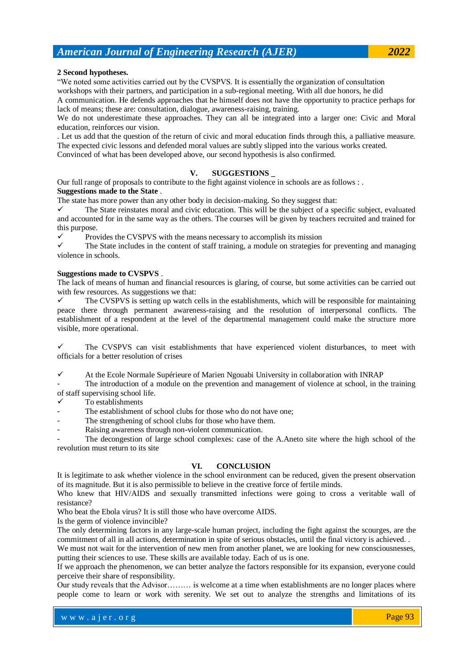### **2 Second hypotheses.**

"We noted some activities carried out by the CVSPVS. It is essentially the organization of consultation workshops with their partners, and participation in a sub-regional meeting. With all due honors, he did

A communication. He defends approaches that he himself does not have the opportunity to practice perhaps for lack of means; these are: consultation, dialogue, awareness-raising, training.

We do not underestimate these approaches. They can all be integrated into a larger one: Civic and Moral education, reinforces our vision.

. Let us add that the question of the return of civic and moral education finds through this, a palliative measure. The expected civic lessons and defended moral values are subtly slipped into the various works created. Convinced of what has been developed above, our second hypothesis is also confirmed.

## **V. SUGGESTIONS \_**

Our full range of proposals to contribute to the fight against violence in schools are as follows : . **Suggestions made to the State** .

The state has more power than any other body in decision-making. So they suggest that:

 $\checkmark$  The State reinstates moral and civic education. This will be the subject of a specific subject, evaluated and accounted for in the same way as the others. The courses will be given by teachers recruited and trained for this purpose.

 $\checkmark$  Provides the CVSPVS with the means necessary to accomplish its mission

 $\checkmark$  The State includes in the content of staff training, a module on strategies for preventing and managing violence in schools.

### **Suggestions made to CVSPVS** .

The lack of means of human and financial resources is glaring, of course, but some activities can be carried out with few resources. As suggestions we that:

 $\checkmark$  The CVSPVS is setting up watch cells in the establishments, which will be responsible for maintaining peace there through permanent awareness-raising and the resolution of interpersonal conflicts. The establishment of a respondent at the level of the departmental management could make the structure more visible, more operational.

 The CVSPVS can visit establishments that have experienced violent disturbances, to meet with officials for a better resolution of crises

 $\checkmark$  At the Ecole Normale Supérieure of Marien Ngouabi University in collaboration with INRAP

The introduction of a module on the prevention and management of violence at school, in the training of staff supervising school life.

To establishments

The establishment of school clubs for those who do not have one;

The strengthening of school clubs for those who have them.

Raising awareness through non-violent communication.

The decongestion of large school complexes: case of the A.Aneto site where the high school of the revolution must return to its site

## **VI. CONCLUSION**

It is legitimate to ask whether violence in the school environment can be reduced, given the present observation of its magnitude. But it is also permissible to believe in the creative force of fertile minds.

Who knew that HIV/AIDS and sexually transmitted infections were going to cross a veritable wall of resistance?

Who beat the Ebola virus? It is still those who have overcome AIDS.

Is the germ of violence invincible?

The only determining factors in any large-scale human project, including the fight against the scourges, are the commitment of all in all actions, determination in spite of serious obstacles, until the final victory is achieved. .

We must not wait for the intervention of new men from another planet, we are looking for new consciousnesses, putting their sciences to use. These skills are available today. Each of us is one.

If we approach the phenomenon, we can better analyze the factors responsible for its expansion, everyone could perceive their share of responsibility.

Our study reveals that the Advisor……… is welcome at a time when establishments are no longer places where people come to learn or work with serenity. We set out to analyze the strengths and limitations of its